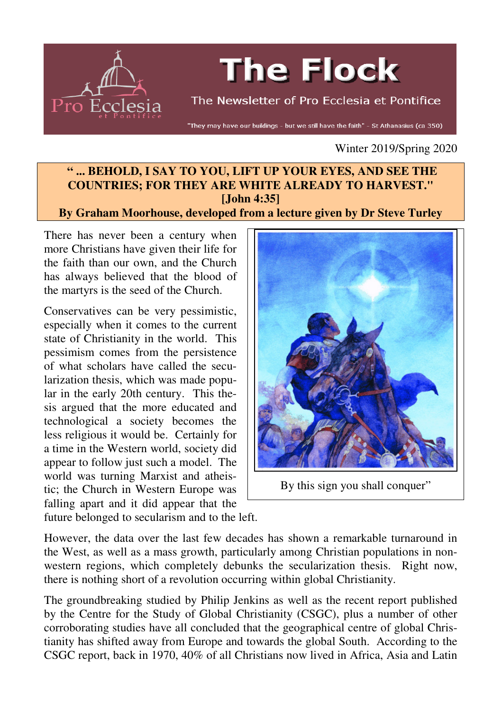

# **The Flock**

The Newsletter of Pro Ecclesia et Pontifice

"They may have our buildings - but we still have the faith" - St Athanasius (ca 350)

Winter 2019/Spring 2020

## **" ... BEHOLD, I SAY TO YOU, LIFT UP YOUR EYES, AND SEE THE COUNTRIES; FOR THEY ARE WHITE ALREADY TO HARVEST." [John 4:35]**

#### **By Graham Moorhouse, developed from a lecture given by Dr Steve Turley**

There has never been a century when more Christians have given their life for the faith than our own, and the Church has always believed that the blood of the martyrs is the seed of the Church.

Conservatives can be very pessimistic, especially when it comes to the current state of Christianity in the world. This pessimism comes from the persistence of what scholars have called the secularization thesis, which was made popular in the early 20th century. This thesis argued that the more educated and technological a society becomes the less religious it would be. Certainly for a time in the Western world, society did appear to follow just such a model. The world was turning Marxist and atheistic; the Church in Western Europe was falling apart and it did appear that the



By this sign you shall conquer"

future belonged to secularism and to the left.

However, the data over the last few decades has shown a remarkable turnaround in the West, as well as a mass growth, particularly among Christian populations in nonwestern regions, which completely debunks the secularization thesis. Right now, there is nothing short of a revolution occurring within global Christianity.

The groundbreaking studied by Philip Jenkins as well as the recent report published by the Centre for the Study of Global Christianity (CSGC), plus a number of other corroborating studies have all concluded that the geographical centre of global Christianity has shifted away from Europe and towards the global South. According to the CSGC report, back in 1970, 40% of all Christians now lived in Africa, Asia and Latin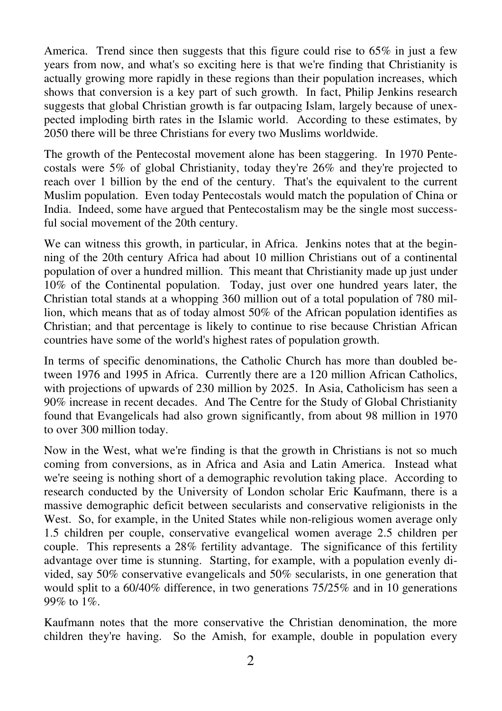America. Trend since then suggests that this figure could rise to 65% in just a few years from now, and what's so exciting here is that we're finding that Christianity is actually growing more rapidly in these regions than their population increases, which shows that conversion is a key part of such growth. In fact, Philip Jenkins research suggests that global Christian growth is far outpacing Islam, largely because of unexpected imploding birth rates in the Islamic world. According to these estimates, by 2050 there will be three Christians for every two Muslims worldwide.

The growth of the Pentecostal movement alone has been staggering. In 1970 Pentecostals were 5% of global Christianity, today they're 26% and they're projected to reach over 1 billion by the end of the century. That's the equivalent to the current Muslim population. Even today Pentecostals would match the population of China or India. Indeed, some have argued that Pentecostalism may be the single most successful social movement of the 20th century.

We can witness this growth, in particular, in Africa. Jenkins notes that at the beginning of the 20th century Africa had about 10 million Christians out of a continental population of over a hundred million. This meant that Christianity made up just under 10% of the Continental population. Today, just over one hundred years later, the Christian total stands at a whopping 360 million out of a total population of 780 million, which means that as of today almost 50% of the African population identifies as Christian; and that percentage is likely to continue to rise because Christian African countries have some of the world's highest rates of population growth.

In terms of specific denominations, the Catholic Church has more than doubled between 1976 and 1995 in Africa. Currently there are a 120 million African Catholics, with projections of upwards of 230 million by 2025. In Asia, Catholicism has seen a 90% increase in recent decades. And The Centre for the Study of Global Christianity found that Evangelicals had also grown significantly, from about 98 million in 1970 to over 300 million today.

Now in the West, what we're finding is that the growth in Christians is not so much coming from conversions, as in Africa and Asia and Latin America. Instead what we're seeing is nothing short of a demographic revolution taking place. According to research conducted by the University of London scholar Eric Kaufmann, there is a massive demographic deficit between secularists and conservative religionists in the West. So, for example, in the United States while non-religious women average only 1.5 children per couple, conservative evangelical women average 2.5 children per couple. This represents a 28% fertility advantage. The significance of this fertility advantage over time is stunning. Starting, for example, with a population evenly divided, say 50% conservative evangelicals and 50% secularists, in one generation that would split to a 60/40% difference, in two generations 75/25% and in 10 generations 99% to 1%.

Kaufmann notes that the more conservative the Christian denomination, the more children they're having. So the Amish, for example, double in population every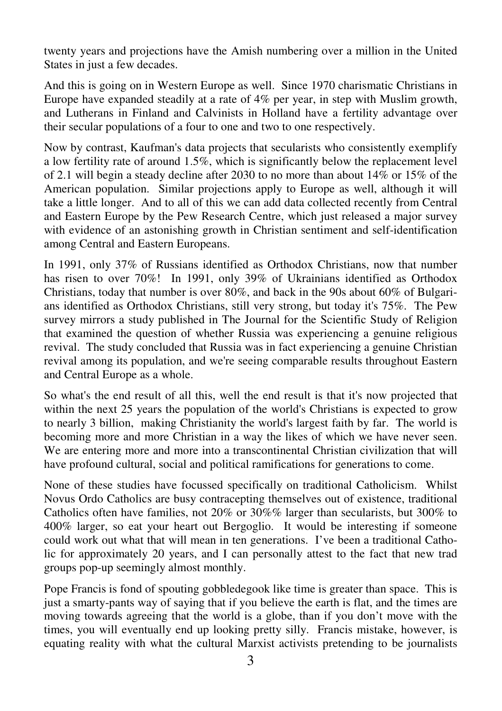twenty years and projections have the Amish numbering over a million in the United States in just a few decades.

And this is going on in Western Europe as well. Since 1970 charismatic Christians in Europe have expanded steadily at a rate of 4% per year, in step with Muslim growth, and Lutherans in Finland and Calvinists in Holland have a fertility advantage over their secular populations of a four to one and two to one respectively.

Now by contrast, Kaufman's data projects that secularists who consistently exemplify a low fertility rate of around 1.5%, which is significantly below the replacement level of 2.1 will begin a steady decline after 2030 to no more than about 14% or 15% of the American population. Similar projections apply to Europe as well, although it will take a little longer. And to all of this we can add data collected recently from Central and Eastern Europe by the Pew Research Centre, which just released a major survey with evidence of an astonishing growth in Christian sentiment and self-identification among Central and Eastern Europeans.

In 1991, only 37% of Russians identified as Orthodox Christians, now that number has risen to over 70%! In 1991, only 39% of Ukrainians identified as Orthodox Christians, today that number is over 80%, and back in the 90s about 60% of Bulgarians identified as Orthodox Christians, still very strong, but today it's 75%. The Pew survey mirrors a study published in The Journal for the Scientific Study of Religion that examined the question of whether Russia was experiencing a genuine religious revival. The study concluded that Russia was in fact experiencing a genuine Christian revival among its population, and we're seeing comparable results throughout Eastern and Central Europe as a whole.

So what's the end result of all this, well the end result is that it's now projected that within the next 25 years the population of the world's Christians is expected to grow to nearly 3 billion, making Christianity the world's largest faith by far. The world is becoming more and more Christian in a way the likes of which we have never seen. We are entering more and more into a transcontinental Christian civilization that will have profound cultural, social and political ramifications for generations to come.

None of these studies have focussed specifically on traditional Catholicism. Whilst Novus Ordo Catholics are busy contracepting themselves out of existence, traditional Catholics often have families, not 20% or 30%% larger than secularists, but 300% to 400% larger, so eat your heart out Bergoglio. It would be interesting if someone could work out what that will mean in ten generations. I've been a traditional Catholic for approximately 20 years, and I can personally attest to the fact that new trad groups pop-up seemingly almost monthly.

Pope Francis is fond of spouting gobbledegook like time is greater than space. This is just a smarty-pants way of saying that if you believe the earth is flat, and the times are moving towards agreeing that the world is a globe, than if you don't move with the times, you will eventually end up looking pretty silly. Francis mistake, however, is equating reality with what the cultural Marxist activists pretending to be journalists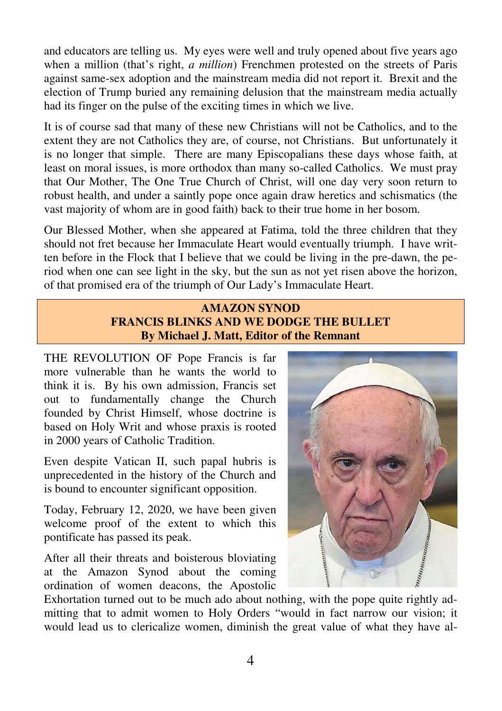and educators are telling us. My eyes were well and truly opened about five years ago when a million (that's right, *a million*) Frenchmen protested on the streets of Paris against same-sex adoption and the mainstream media did not report it. Brexit and the election of Trump buried any remaining delusion that the mainstream media actually had its finger on the pulse of the exciting times in which we live.

It is of course sad that many of these new Christians will not be Catholics, and to the extent they are not Catholics they are, of course, not Christians. But unfortunately it is no longer that simple. There are many Episcopalians these days whose faith, at least on moral issues, is more orthodox than many so-called Catholics. We must pray that Our Mother, The One True Church of Christ, will one day very soon return to robust health, and under a saintly pope once again draw heretics and schismatics (the vast majority of whom are in good faith) back to their true home in her bosom.

Our Blessed Mother, when she appeared at Fatima, told the three children that they should not fret because her Immaculate Heart would eventually triumph. I have written before in the Flock that I believe that we could be living in the pre-dawn, the period when one can see light in the sky, but the sun as not yet risen above the horizon, of that promised era of the triumph of Our Lady's Immaculate Heart.

## **AMAZON SYNOD FRANCIS BLINKS AND WE DODGE THE BULLET By Michael J. Matt, Editor of the Remnant**

THE REVOLUTION OF Pope Francis is far more vulnerable than he wants the world to think it is. By his own admission, Francis set out to fundamentally change the Church founded by Christ Himself, whose doctrine is based on Holy Writ and whose praxis is rooted in 2000 years of Catholic Tradition.

Even despite Vatican II, such papal hubris is unprecedented in the history of the Church and is bound to encounter significant opposition.

Today, February 12, 2020, we have been given welcome proof of the extent to which this pontificate has passed its peak.

After all their threats and boisterous bloviating at the Amazon Synod about the coming ordination of women deacons, the Apostolic



Exhortation turned out to be much ado about nothing, with the pope quite rightly admitting that to admit women to Holy Orders "would in fact narrow our vision; it would lead us to clericalize women, diminish the great value of what they have al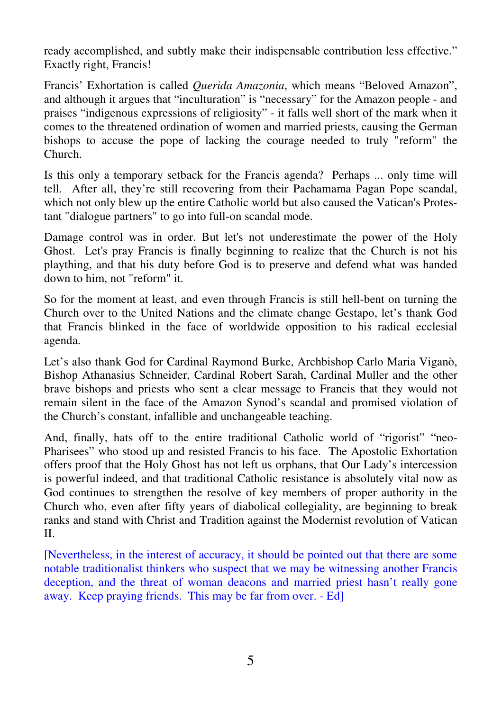ready accomplished, and subtly make their indispensable contribution less effective." Exactly right, Francis!

Francis' Exhortation is called *Querida Amazonia*, which means "Beloved Amazon", and although it argues that "inculturation" is "necessary" for the Amazon people - and praises "indigenous expressions of religiosity" - it falls well short of the mark when it comes to the threatened ordination of women and married priests, causing the German bishops to accuse the pope of lacking the courage needed to truly "reform" the Church.

Is this only a temporary setback for the Francis agenda? Perhaps ... only time will tell. After all, they're still recovering from their Pachamama Pagan Pope scandal, which not only blew up the entire Catholic world but also caused the Vatican's Protestant "dialogue partners" to go into full-on scandal mode.

Damage control was in order. But let's not underestimate the power of the Holy Ghost. Let's pray Francis is finally beginning to realize that the Church is not his plaything, and that his duty before God is to preserve and defend what was handed down to him, not "reform" it.

So for the moment at least, and even through Francis is still hell-bent on turning the Church over to the United Nations and the climate change Gestapo, let's thank God that Francis blinked in the face of worldwide opposition to his radical ecclesial agenda.

Let's also thank God for Cardinal Raymond Burke, Archbishop Carlo Maria Viganò, Bishop Athanasius Schneider, Cardinal Robert Sarah, Cardinal Muller and the other brave bishops and priests who sent a clear message to Francis that they would not remain silent in the face of the Amazon Synod's scandal and promised violation of the Church's constant, infallible and unchangeable teaching.

And, finally, hats off to the entire traditional Catholic world of "rigorist" "neo-Pharisees" who stood up and resisted Francis to his face. The Apostolic Exhortation offers proof that the Holy Ghost has not left us orphans, that Our Lady's intercession is powerful indeed, and that traditional Catholic resistance is absolutely vital now as God continues to strengthen the resolve of key members of proper authority in the Church who, even after fifty years of diabolical collegiality, are beginning to break ranks and stand with Christ and Tradition against the Modernist revolution of Vatican II.

[Nevertheless, in the interest of accuracy, it should be pointed out that there are some notable traditionalist thinkers who suspect that we may be witnessing another Francis deception, and the threat of woman deacons and married priest hasn't really gone away. Keep praying friends. This may be far from over. - Ed]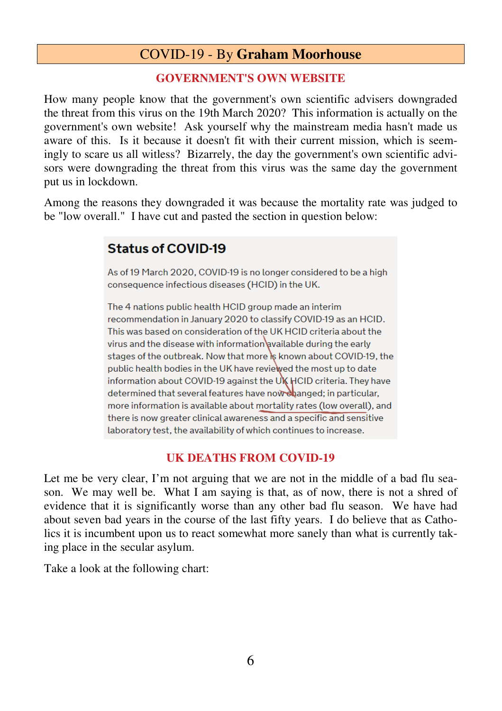# COVID-19 - By **Graham Moorhouse**

## **GOVERNMENT'S OWN WEBSITE**

How many people know that the government's own scientific advisers downgraded the threat from this virus on the 19th March 2020? This information is actually on the government's own website! Ask yourself why the mainstream media hasn't made us aware of this. Is it because it doesn't fit with their current mission, which is seemingly to scare us all witless? Bizarrely, the day the government's own scientific advisors were downgrading the threat from this virus was the same day the government put us in lockdown.

Among the reasons they downgraded it was because the mortality rate was judged to be "low overall." I have cut and pasted the section in question below:

## **Status of COVID-19**

As of 19 March 2020, COVID-19 is no longer considered to be a high consequence infectious diseases (HCID) in the UK.

The 4 nations public health HCID group made an interim recommendation in January 2020 to classify COVID-19 as an HCID. This was based on consideration of the UK HCID criteria about the virus and the disease with information available during the early stages of the outbreak. Now that more is known about COVID-19, the public health bodies in the UK have reviewed the most up to date information about COVID-19 against the UK HCID criteria. They have determined that several features have now changed; in particular, more information is available about mortality rates (low overall), and there is now greater clinical awareness and a specific and sensitive laboratory test, the availability of which continues to increase.

## **UK DEATHS FROM COVID-19**

Let me be very clear, I'm not arguing that we are not in the middle of a bad flu season. We may well be. What I am saying is that, as of now, there is not a shred of evidence that it is significantly worse than any other bad flu season. We have had about seven bad years in the course of the last fifty years. I do believe that as Catholics it is incumbent upon us to react somewhat more sanely than what is currently taking place in the secular asylum.

Take a look at the following chart: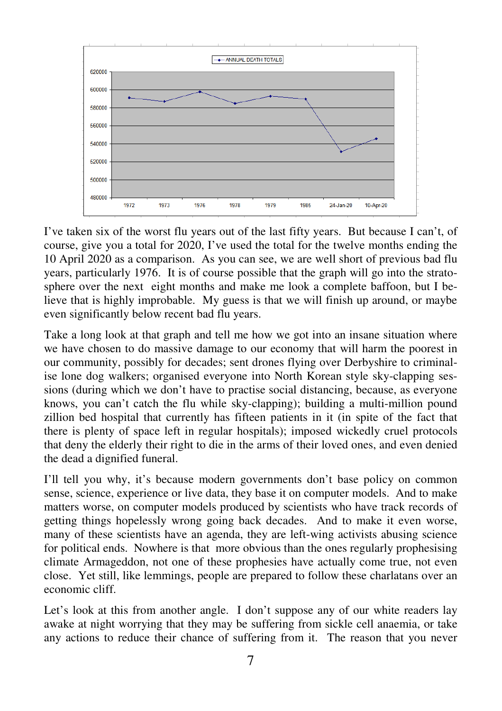

I've taken six of the worst flu years out of the last fifty years. But because I can't, of course, give you a total for 2020, I've used the total for the twelve months ending the 10 April 2020 as a comparison. As you can see, we are well short of previous bad flu years, particularly 1976. It is of course possible that the graph will go into the stratosphere over the next eight months and make me look a complete baffoon, but I believe that is highly improbable. My guess is that we will finish up around, or maybe even significantly below recent bad flu years.

Take a long look at that graph and tell me how we got into an insane situation where we have chosen to do massive damage to our economy that will harm the poorest in our community, possibly for decades; sent drones flying over Derbyshire to criminalise lone dog walkers; organised everyone into North Korean style sky-clapping sessions (during which we don't have to practise social distancing, because, as everyone knows, you can't catch the flu while sky-clapping); building a multi-million pound zillion bed hospital that currently has fifteen patients in it (in spite of the fact that there is plenty of space left in regular hospitals); imposed wickedly cruel protocols that deny the elderly their right to die in the arms of their loved ones, and even denied the dead a dignified funeral.

I'll tell you why, it's because modern governments don't base policy on common sense, science, experience or live data, they base it on computer models. And to make matters worse, on computer models produced by scientists who have track records of getting things hopelessly wrong going back decades. And to make it even worse, many of these scientists have an agenda, they are left-wing activists abusing science for political ends. Nowhere is that more obvious than the ones regularly prophesising climate Armageddon, not one of these prophesies have actually come true, not even close. Yet still, like lemmings, people are prepared to follow these charlatans over an economic cliff.

Let's look at this from another angle. I don't suppose any of our white readers lay awake at night worrying that they may be suffering from sickle cell anaemia, or take any actions to reduce their chance of suffering from it. The reason that you never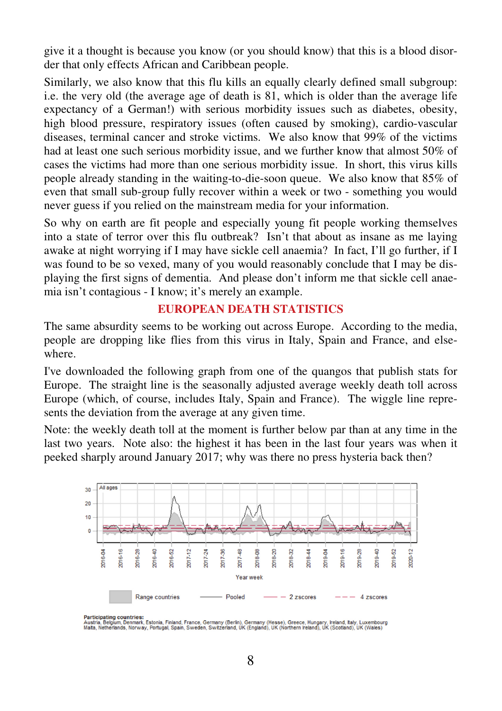give it a thought is because you know (or you should know) that this is a blood disorder that only effects African and Caribbean people.

Similarly, we also know that this flu kills an equally clearly defined small subgroup: i.e. the very old (the average age of death is 81, which is older than the average life expectancy of a German!) with serious morbidity issues such as diabetes, obesity, high blood pressure, respiratory issues (often caused by smoking), cardio-vascular diseases, terminal cancer and stroke victims. We also know that 99% of the victims had at least one such serious morbidity issue, and we further know that almost 50% of cases the victims had more than one serious morbidity issue. In short, this virus kills people already standing in the waiting-to-die-soon queue. We also know that 85% of even that small sub-group fully recover within a week or two - something you would never guess if you relied on the mainstream media for your information.

So why on earth are fit people and especially young fit people working themselves into a state of terror over this flu outbreak? Isn't that about as insane as me laying awake at night worrying if I may have sickle cell anaemia? In fact, I'll go further, if I was found to be so vexed, many of you would reasonably conclude that I may be displaying the first signs of dementia. And please don't inform me that sickle cell anaemia isn't contagious - I know; it's merely an example.

#### **EUROPEAN DEATH STATISTICS**

The same absurdity seems to be working out across Europe. According to the media, people are dropping like flies from this virus in Italy, Spain and France, and elsewhere.

I've downloaded the following graph from one of the quangos that publish stats for Europe. The straight line is the seasonally adjusted average weekly death toll across Europe (which, of course, includes Italy, Spain and France). The wiggle line represents the deviation from the average at any given time.

Note: the weekly death toll at the moment is further below par than at any time in the last two years. Note also: the highest it has been in the last four years was when it peeked sharply around January 2017; why was there no press hysteria back then?



Participating countries:<br>Austria, Belgum, Demmark, Estonia, Finland, France, Germany (Berlin), Germany (Hesse), Greece, Hungary, Ireland, Italy, Luxembourg<br>Mata, Netherlands, Norway, Portugal, Spain, Sweden, Switzerland, U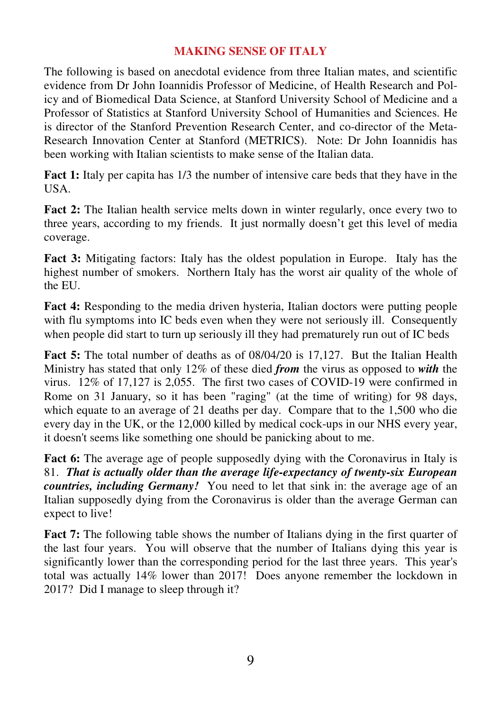## **MAKING SENSE OF ITALY**

The following is based on anecdotal evidence from three Italian mates, and scientific evidence from Dr John Ioannidis Professor of Medicine, of Health Research and Policy and of Biomedical Data Science, at Stanford University School of Medicine and a Professor of Statistics at Stanford University School of Humanities and Sciences. He is director of the Stanford Prevention Research Center, and co-director of the Meta-Research Innovation Center at Stanford (METRICS). Note: Dr John Ioannidis has been working with Italian scientists to make sense of the Italian data.

**Fact 1:** Italy per capita has 1/3 the number of intensive care beds that they have in the USA.

**Fact 2:** The Italian health service melts down in winter regularly, once every two to three years, according to my friends. It just normally doesn't get this level of media coverage.

**Fact 3:** Mitigating factors: Italy has the oldest population in Europe. Italy has the highest number of smokers. Northern Italy has the worst air quality of the whole of the EU.

**Fact 4:** Responding to the media driven hysteria, Italian doctors were putting people with flu symptoms into IC beds even when they were not seriously ill. Consequently when people did start to turn up seriously ill they had prematurely run out of IC beds

**Fact 5:** The total number of deaths as of 08/04/20 is 17,127. But the Italian Health Ministry has stated that only 12% of these died *from* the virus as opposed to *with* the virus. 12% of 17,127 is 2,055. The first two cases of COVID-19 were confirmed in Rome on 31 January, so it has been "raging" (at the time of writing) for 98 days, which equate to an average of 21 deaths per day. Compare that to the 1,500 who die every day in the UK, or the 12,000 killed by medical cock-ups in our NHS every year, it doesn't seems like something one should be panicking about to me.

**Fact 6:** The average age of people supposedly dying with the Coronavirus in Italy is 81. *That is actually older than the average life-expectancy of twenty-six European countries, including Germany!* You need to let that sink in: the average age of an Italian supposedly dying from the Coronavirus is older than the average German can expect to live!

**Fact 7:** The following table shows the number of Italians dying in the first quarter of the last four years. You will observe that the number of Italians dying this year is significantly lower than the corresponding period for the last three years. This year's total was actually 14% lower than 2017! Does anyone remember the lockdown in 2017? Did I manage to sleep through it?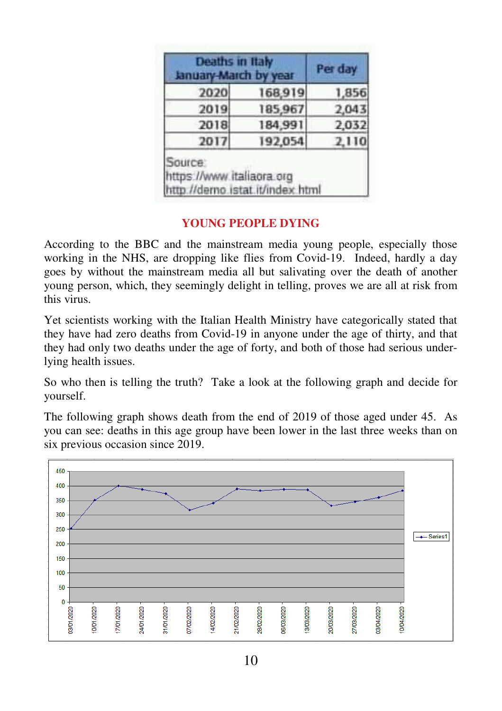| Deaths in Italy<br>January-March by year |         | Per day |
|------------------------------------------|---------|---------|
| 2020                                     | 168,919 | 1,856   |
| 2019                                     | 185,967 | 2,043   |
| 2018                                     | 184,991 | 2,032   |
| 2017                                     | 192,054 | 2,110   |

## **YOUNG PEOPLE DYING**

According to the BBC and the mainstream media young people, especially those working in the NHS, are dropping like flies from Covid-19. Indeed, hardly a day goes by without the mainstream media all but salivating over the death of another young person, which, they seemingly delight in telling, proves we are all at risk from this virus.

Yet scientists working with the Italian Health Ministry have categorically stated that they have had zero deaths from Covid-19 in anyone under the age of thirty, and that they had only two deaths under the age of forty, and both of those had serious underlying health issues.

So who then is telling the truth? Take a look at the following graph and decide for yourself.

The following graph shows death from the end of 2019 of those aged under 45. As you can see: deaths in this age group have been lower in the last three weeks than on six previous occasion since 2019.

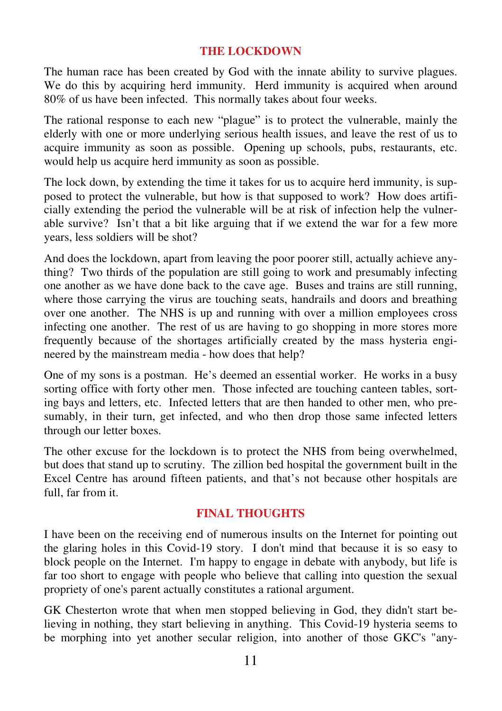#### **THE LOCKDOWN**

The human race has been created by God with the innate ability to survive plagues. We do this by acquiring herd immunity. Herd immunity is acquired when around 80% of us have been infected. This normally takes about four weeks.

The rational response to each new "plague" is to protect the vulnerable, mainly the elderly with one or more underlying serious health issues, and leave the rest of us to acquire immunity as soon as possible. Opening up schools, pubs, restaurants, etc. would help us acquire herd immunity as soon as possible.

The lock down, by extending the time it takes for us to acquire herd immunity, is supposed to protect the vulnerable, but how is that supposed to work? How does artificially extending the period the vulnerable will be at risk of infection help the vulnerable survive? Isn't that a bit like arguing that if we extend the war for a few more years, less soldiers will be shot?

And does the lockdown, apart from leaving the poor poorer still, actually achieve anything? Two thirds of the population are still going to work and presumably infecting one another as we have done back to the cave age. Buses and trains are still running, where those carrying the virus are touching seats, handrails and doors and breathing over one another. The NHS is up and running with over a million employees cross infecting one another. The rest of us are having to go shopping in more stores more frequently because of the shortages artificially created by the mass hysteria engineered by the mainstream media - how does that help?

One of my sons is a postman. He's deemed an essential worker. He works in a busy sorting office with forty other men. Those infected are touching canteen tables, sorting bays and letters, etc. Infected letters that are then handed to other men, who presumably, in their turn, get infected, and who then drop those same infected letters through our letter boxes.

The other excuse for the lockdown is to protect the NHS from being overwhelmed, but does that stand up to scrutiny. The zillion bed hospital the government built in the Excel Centre has around fifteen patients, and that's not because other hospitals are full, far from it.

#### **FINAL THOUGHTS**

I have been on the receiving end of numerous insults on the Internet for pointing out the glaring holes in this Covid-19 story. I don't mind that because it is so easy to block people on the Internet. I'm happy to engage in debate with anybody, but life is far too short to engage with people who believe that calling into question the sexual propriety of one's parent actually constitutes a rational argument.

GK Chesterton wrote that when men stopped believing in God, they didn't start believing in nothing, they start believing in anything. This Covid-19 hysteria seems to be morphing into yet another secular religion, into another of those GKC's "any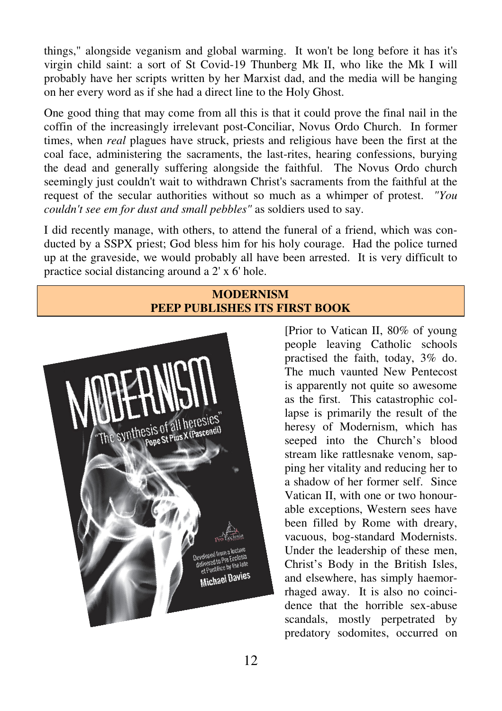things," alongside veganism and global warming. It won't be long before it has it's virgin child saint: a sort of St Covid-19 Thunberg Mk II, who like the Mk I will probably have her scripts written by her Marxist dad, and the media will be hanging on her every word as if she had a direct line to the Holy Ghost.

One good thing that may come from all this is that it could prove the final nail in the coffin of the increasingly irrelevant post-Conciliar, Novus Ordo Church. In former times, when *real* plagues have struck, priests and religious have been the first at the coal face, administering the sacraments, the last-rites, hearing confessions, burying the dead and generally suffering alongside the faithful. The Novus Ordo church seemingly just couldn't wait to withdrawn Christ's sacraments from the faithful at the request of the secular authorities without so much as a whimper of protest. *"You couldn't see em for dust and small pebbles"* as soldiers used to say.

I did recently manage, with others, to attend the funeral of a friend, which was conducted by a SSPX priest; God bless him for his holy courage. Had the police turned up at the graveside, we would probably all have been arrested. It is very difficult to practice social distancing around a 2' x 6' hole.

## **MODERNISM PEEP PUBLISHES ITS FIRST BOOK**



[Prior to Vatican II, 80% of young people leaving Catholic schools practised the faith, today, 3% do. The much vaunted New Pentecost is apparently not quite so awesome as the first. This catastrophic collapse is primarily the result of the heresy of Modernism, which has seeped into the Church's blood stream like rattlesnake venom, sapping her vitality and reducing her to a shadow of her former self. Since Vatican II, with one or two honourable exceptions, Western sees have been filled by Rome with dreary, vacuous, bog-standard Modernists. Under the leadership of these men, Christ's Body in the British Isles, and elsewhere, has simply haemorrhaged away. It is also no coincidence that the horrible sex-abuse scandals, mostly perpetrated by predatory sodomites, occurred on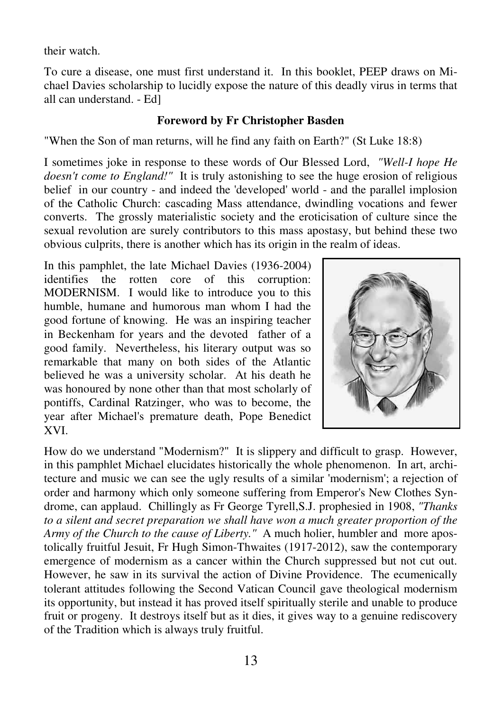their watch.

To cure a disease, one must first understand it. In this booklet, PEEP draws on Michael Davies scholarship to lucidly expose the nature of this deadly virus in terms that all can understand. - Ed]

## **Foreword by Fr Christopher Basden**

"When the Son of man returns, will he find any faith on Earth?" (St Luke 18:8)

I sometimes joke in response to these words of Our Blessed Lord, *"Well-I hope He doesn't come to England!"* It is truly astonishing to see the huge erosion of religious belief in our country - and indeed the 'developed' world - and the parallel implosion of the Catholic Church: cascading Mass attendance, dwindling vocations and fewer converts. The grossly materialistic society and the eroticisation of culture since the sexual revolution are surely contributors to this mass apostasy, but behind these two obvious culprits, there is another which has its origin in the realm of ideas.

In this pamphlet, the late Michael Davies (1936-2004) identifies the rotten core of this corruption: MODERNISM. I would like to introduce you to this humble, humane and humorous man whom I had the good fortune of knowing. He was an inspiring teacher in Beckenham for years and the devoted father of a good family. Nevertheless, his literary output was so remarkable that many on both sides of the Atlantic believed he was a university scholar. At his death he was honoured by none other than that most scholarly of pontiffs, Cardinal Ratzinger, who was to become, the year after Michael's premature death, Pope Benedict XVI.



How do we understand "Modernism?" It is slippery and difficult to grasp. However, in this pamphlet Michael elucidates historically the whole phenomenon. In art, architecture and music we can see the ugly results of a similar 'modernism'; a rejection of order and harmony which only someone suffering from Emperor's New Clothes Syndrome, can applaud. Chillingly as Fr George Tyrell,S.J. prophesied in 1908, *"Thanks to a silent and secret preparation we shall have won a much greater proportion of the Army of the Church to the cause of Liberty."* A much holier, humbler and more apostolically fruitful Jesuit, Fr Hugh Simon-Thwaites (1917-2012), saw the contemporary emergence of modernism as a cancer within the Church suppressed but not cut out. However, he saw in its survival the action of Divine Providence. The ecumenically tolerant attitudes following the Second Vatican Council gave theological modernism its opportunity, but instead it has proved itself spiritually sterile and unable to produce fruit or progeny. It destroys itself but as it dies, it gives way to a genuine rediscovery of the Tradition which is always truly fruitful.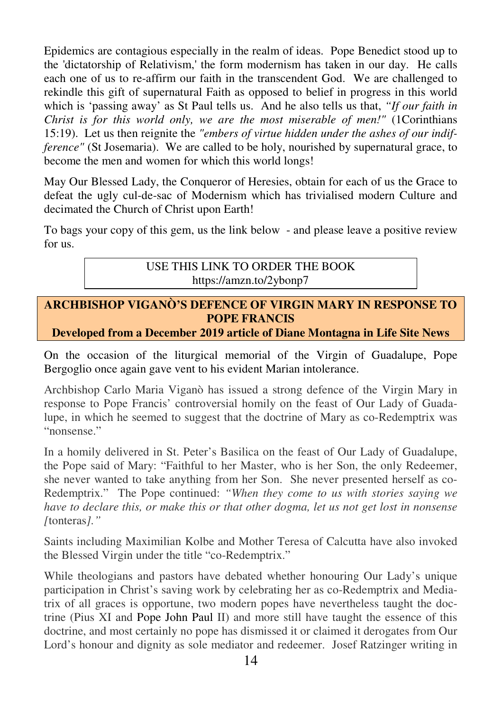Epidemics are contagious especially in the realm of ideas. Pope Benedict stood up to the 'dictatorship of Relativism,' the form modernism has taken in our day. He calls each one of us to re-affirm our faith in the transcendent God. We are challenged to rekindle this gift of supernatural Faith as opposed to belief in progress in this world which is 'passing away' as St Paul tells us. And he also tells us that, *"If our faith in Christ is for this world only, we are the most miserable of men!"* (1Corinthians 15:19). Let us then reignite the *"embers of virtue hidden under the ashes of our indifference"* (St Josemaria). We are called to be holy, nourished by supernatural grace, to become the men and women for which this world longs!

May Our Blessed Lady, the Conqueror of Heresies, obtain for each of us the Grace to defeat the ugly cul-de-sac of Modernism which has trivialised modern Culture and decimated the Church of Christ upon Earth!

To bags your copy of this gem, us the link below - and please leave a positive review for us.

> USE THIS LINK TO ORDER THE BOOK https://amzn.to/2ybonp7

## **ARCHBISHOP VIGANÒ'S DEFENCE OF VIRGIN MARY IN RESPONSE TO POPE FRANCIS**

**Developed from a December 2019 article of Diane Montagna in Life Site News** 

On the occasion of the liturgical memorial of the Virgin of Guadalupe, Pope Bergoglio once again gave vent to his evident Marian intolerance.

Archbishop Carlo Maria Viganò has issued a strong defence of the Virgin Mary in response to Pope Francis' controversial homily on the feast of Our Lady of Guadalupe, in which he seemed to suggest that the doctrine of Mary as co-Redemptrix was "nonsense."

In a homily delivered in St. Peter's Basilica on the feast of Our Lady of Guadalupe, the Pope said of Mary: "Faithful to her Master, who is her Son, the only Redeemer, she never wanted to take anything from her Son. She never presented herself as co-Redemptrix." The Pope continued: *"When they come to us with stories saying we have to declare this, or make this or that other dogma, let us not get lost in nonsense [*tonteras*]."*

Saints including Maximilian Kolbe and Mother Teresa of Calcutta have also invoked the Blessed Virgin under the title "co-Redemptrix."

While theologians and pastors have debated whether honouring Our Lady's unique participation in Christ's saving work by celebrating her as co-Redemptrix and Mediatrix of all graces is opportune, two modern popes have nevertheless taught the doctrine (Pius XI and Pope John Paul II) and more still have taught the essence of this doctrine, and most certainly no pope has dismissed it or claimed it derogates from Our Lord's honour and dignity as sole mediator and redeemer. Josef Ratzinger writing in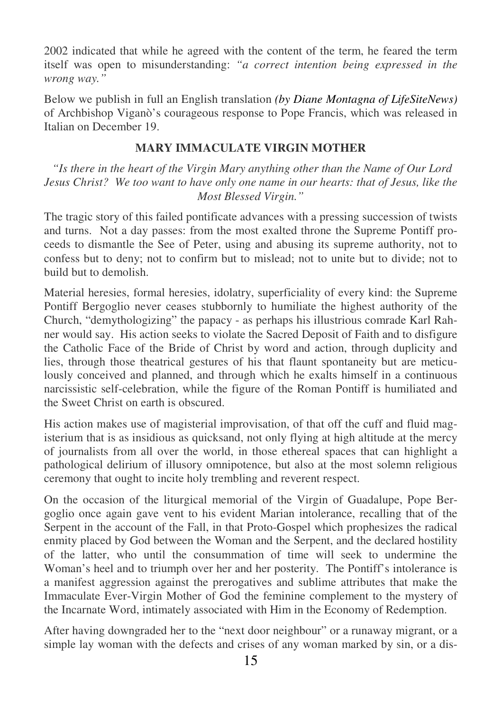2002 indicated that while he agreed with the content of the term, he feared the term itself was open to misunderstanding: *"a correct intention being expressed in the wrong way."*

Below we publish in full an English translation *(by Diane Montagna of LifeSiteNews)* of Archbishop Viganò's courageous response to Pope Francis, which was released in Italian on December 19.

## **MARY IMMACULATE VIRGIN MOTHER**

 *"Is there in the heart of the Virgin Mary anything other than the Name of Our Lord Jesus Christ? We too want to have only one name in our hearts: that of Jesus, like the Most Blessed Virgin."*

The tragic story of this failed pontificate advances with a pressing succession of twists and turns. Not a day passes: from the most exalted throne the Supreme Pontiff proceeds to dismantle the See of Peter, using and abusing its supreme authority, not to confess but to deny; not to confirm but to mislead; not to unite but to divide; not to build but to demolish.

Material heresies, formal heresies, idolatry, superficiality of every kind: the Supreme Pontiff Bergoglio never ceases stubbornly to humiliate the highest authority of the Church, "demythologizing" the papacy - as perhaps his illustrious comrade Karl Rahner would say. His action seeks to violate the Sacred Deposit of Faith and to disfigure the Catholic Face of the Bride of Christ by word and action, through duplicity and lies, through those theatrical gestures of his that flaunt spontaneity but are meticulously conceived and planned, and through which he exalts himself in a continuous narcissistic self-celebration, while the figure of the Roman Pontiff is humiliated and the Sweet Christ on earth is obscured.

His action makes use of magisterial improvisation, of that off the cuff and fluid magisterium that is as insidious as quicksand, not only flying at high altitude at the mercy of journalists from all over the world, in those ethereal spaces that can highlight a pathological delirium of illusory omnipotence, but also at the most solemn religious ceremony that ought to incite holy trembling and reverent respect.

On the occasion of the liturgical memorial of the Virgin of Guadalupe, Pope Bergoglio once again gave vent to his evident Marian intolerance, recalling that of the Serpent in the account of the Fall, in that Proto-Gospel which prophesizes the radical enmity placed by God between the Woman and the Serpent, and the declared hostility of the latter, who until the consummation of time will seek to undermine the Woman's heel and to triumph over her and her posterity. The Pontiff's intolerance is a manifest aggression against the prerogatives and sublime attributes that make the Immaculate Ever-Virgin Mother of God the feminine complement to the mystery of the Incarnate Word, intimately associated with Him in the Economy of Redemption.

After having downgraded her to the "next door neighbour" or a runaway migrant, or a simple lay woman with the defects and crises of any woman marked by sin, or a dis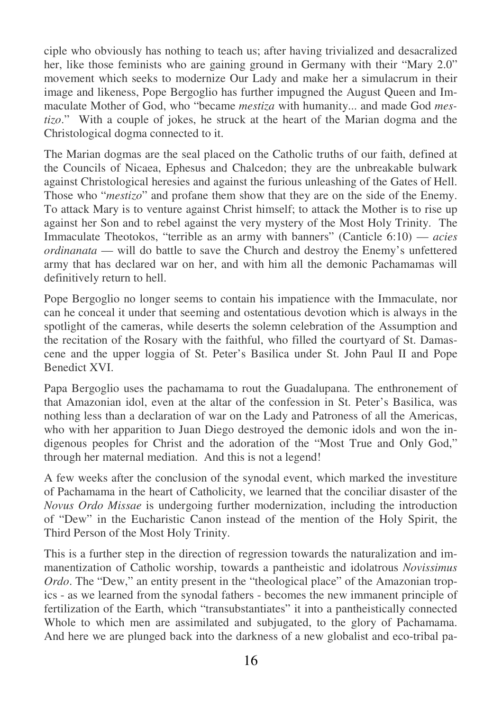ciple who obviously has nothing to teach us; after having trivialized and desacralized her, like those feminists who are gaining ground in Germany with their "Mary 2.0" movement which seeks to modernize Our Lady and make her a simulacrum in their image and likeness, Pope Bergoglio has further impugned the August Queen and Immaculate Mother of God, who "became *mestiza* with humanity... and made God *mestizo*." With a couple of jokes, he struck at the heart of the Marian dogma and the Christological dogma connected to it.

The Marian dogmas are the seal placed on the Catholic truths of our faith, defined at the Councils of Nicaea, Ephesus and Chalcedon; they are the unbreakable bulwark against Christological heresies and against the furious unleashing of the Gates of Hell. Those who "*mestizo*" and profane them show that they are on the side of the Enemy. To attack Mary is to venture against Christ himself; to attack the Mother is to rise up against her Son and to rebel against the very mystery of the Most Holy Trinity. The Immaculate Theotokos, "terrible as an army with banners" (Canticle 6:10) — *acies ordinanata* — will do battle to save the Church and destroy the Enemy's unfettered army that has declared war on her, and with him all the demonic Pachamamas will definitively return to hell.

Pope Bergoglio no longer seems to contain his impatience with the Immaculate, nor can he conceal it under that seeming and ostentatious devotion which is always in the spotlight of the cameras, while deserts the solemn celebration of the Assumption and the recitation of the Rosary with the faithful, who filled the courtyard of St. Damascene and the upper loggia of St. Peter's Basilica under St. John Paul II and Pope Benedict XVI.

Papa Bergoglio uses the pachamama to rout the Guadalupana. The enthronement of that Amazonian idol, even at the altar of the confession in St. Peter's Basilica, was nothing less than a declaration of war on the Lady and Patroness of all the Americas, who with her apparition to Juan Diego destroyed the demonic idols and won the indigenous peoples for Christ and the adoration of the "Most True and Only God," through her maternal mediation. And this is not a legend!

A few weeks after the conclusion of the synodal event, which marked the investiture of Pachamama in the heart of Catholicity, we learned that the conciliar disaster of the *Novus Ordo Missae* is undergoing further modernization, including the introduction of "Dew" in the Eucharistic Canon instead of the mention of the Holy Spirit, the Third Person of the Most Holy Trinity.

This is a further step in the direction of regression towards the naturalization and immanentization of Catholic worship, towards a pantheistic and idolatrous *Novissimus Ordo*. The "Dew," an entity present in the "theological place" of the Amazonian tropics - as we learned from the synodal fathers - becomes the new immanent principle of fertilization of the Earth, which "transubstantiates" it into a pantheistically connected Whole to which men are assimilated and subjugated, to the glory of Pachamama. And here we are plunged back into the darkness of a new globalist and eco-tribal pa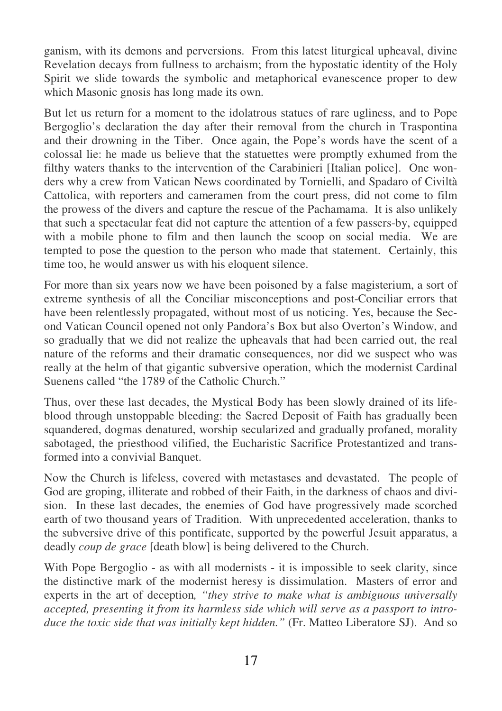ganism, with its demons and perversions. From this latest liturgical upheaval, divine Revelation decays from fullness to archaism; from the hypostatic identity of the Holy Spirit we slide towards the symbolic and metaphorical evanescence proper to dew which Masonic gnosis has long made its own.

But let us return for a moment to the idolatrous statues of rare ugliness, and to Pope Bergoglio's declaration the day after their removal from the church in Traspontina and their drowning in the Tiber. Once again, the Pope's words have the scent of a colossal lie: he made us believe that the statuettes were promptly exhumed from the filthy waters thanks to the intervention of the Carabinieri [Italian police]. One wonders why a crew from Vatican News coordinated by Tornielli, and Spadaro of Civiltà Cattolica, with reporters and cameramen from the court press, did not come to film the prowess of the divers and capture the rescue of the Pachamama. It is also unlikely that such a spectacular feat did not capture the attention of a few passers-by, equipped with a mobile phone to film and then launch the scoop on social media. We are tempted to pose the question to the person who made that statement. Certainly, this time too, he would answer us with his eloquent silence.

For more than six years now we have been poisoned by a false magisterium, a sort of extreme synthesis of all the Conciliar misconceptions and post-Conciliar errors that have been relentlessly propagated, without most of us noticing. Yes, because the Second Vatican Council opened not only Pandora's Box but also Overton's Window, and so gradually that we did not realize the upheavals that had been carried out, the real nature of the reforms and their dramatic consequences, nor did we suspect who was really at the helm of that gigantic subversive operation, which the modernist Cardinal Suenens called "the 1789 of the Catholic Church."

Thus, over these last decades, the Mystical Body has been slowly drained of its lifeblood through unstoppable bleeding: the Sacred Deposit of Faith has gradually been squandered, dogmas denatured, worship secularized and gradually profaned, morality sabotaged, the priesthood vilified, the Eucharistic Sacrifice Protestantized and transformed into a convivial Banquet.

Now the Church is lifeless, covered with metastases and devastated. The people of God are groping, illiterate and robbed of their Faith, in the darkness of chaos and division. In these last decades, the enemies of God have progressively made scorched earth of two thousand years of Tradition. With unprecedented acceleration, thanks to the subversive drive of this pontificate, supported by the powerful Jesuit apparatus, a deadly *coup de grace* [death blow] is being delivered to the Church.

With Pope Bergoglio - as with all modernists - it is impossible to seek clarity, since the distinctive mark of the modernist heresy is dissimulation. Masters of error and experts in the art of deception*, "they strive to make what is ambiguous universally accepted, presenting it from its harmless side which will serve as a passport to introduce the toxic side that was initially kept hidden."* (Fr. Matteo Liberatore SJ). And so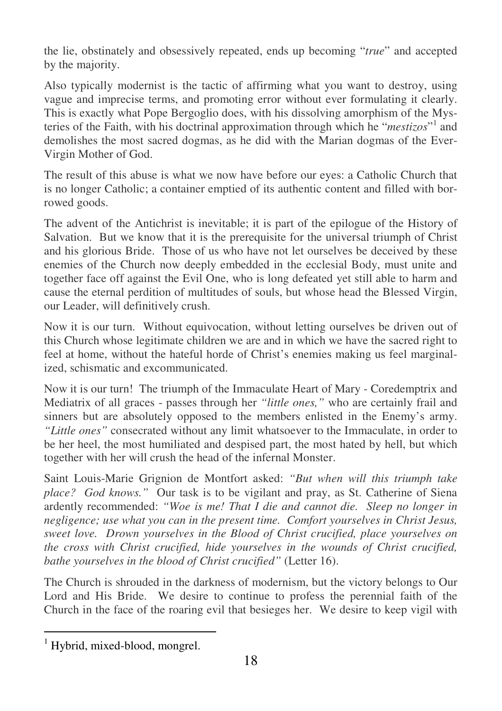the lie, obstinately and obsessively repeated, ends up becoming "*true*" and accepted by the majority.

Also typically modernist is the tactic of affirming what you want to destroy, using vague and imprecise terms, and promoting error without ever formulating it clearly. This is exactly what Pope Bergoglio does, with his dissolving amorphism of the Mysteries of the Faith, with his doctrinal approximation through which he "*mestizos*"<sup>1</sup> and demolishes the most sacred dogmas, as he did with the Marian dogmas of the Ever-Virgin Mother of God.

The result of this abuse is what we now have before our eyes: a Catholic Church that is no longer Catholic; a container emptied of its authentic content and filled with borrowed goods.

The advent of the Antichrist is inevitable; it is part of the epilogue of the History of Salvation. But we know that it is the prerequisite for the universal triumph of Christ and his glorious Bride. Those of us who have not let ourselves be deceived by these enemies of the Church now deeply embedded in the ecclesial Body, must unite and together face off against the Evil One, who is long defeated yet still able to harm and cause the eternal perdition of multitudes of souls, but whose head the Blessed Virgin, our Leader, will definitively crush.

Now it is our turn. Without equivocation, without letting ourselves be driven out of this Church whose legitimate children we are and in which we have the sacred right to feel at home, without the hateful horde of Christ's enemies making us feel marginalized, schismatic and excommunicated.

Now it is our turn! The triumph of the Immaculate Heart of Mary - Coredemptrix and Mediatrix of all graces - passes through her *"little ones*," who are certainly frail and sinners but are absolutely opposed to the members enlisted in the Enemy's army. *"Little ones"* consecrated without any limit whatsoever to the Immaculate, in order to be her heel, the most humiliated and despised part, the most hated by hell, but which together with her will crush the head of the infernal Monster.

Saint Louis-Marie Grignion de Montfort asked: *"But when will this triumph take place? God knows."* Our task is to be vigilant and pray, as St. Catherine of Siena ardently recommended: *"Woe is me! That I die and cannot die. Sleep no longer in negligence; use what you can in the present time. Comfort yourselves in Christ Jesus, sweet love. Drown yourselves in the Blood of Christ crucified, place yourselves on the cross with Christ crucified, hide yourselves in the wounds of Christ crucified, bathe yourselves in the blood of Christ crucified"* (Letter 16).

The Church is shrouded in the darkness of modernism, but the victory belongs to Our Lord and His Bride. We desire to continue to profess the perennial faith of the Church in the face of the roaring evil that besieges her. We desire to keep vigil with

 $\overline{a}$ <sup>1</sup> Hybrid, mixed-blood, mongrel.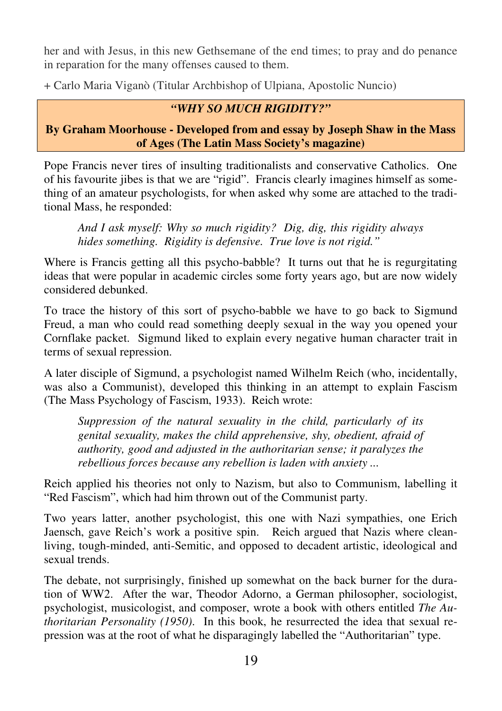her and with Jesus, in this new Gethsemane of the end times; to pray and do penance in reparation for the many offenses caused to them.

+ Carlo Maria Viganò (Titular Archbishop of Ulpiana, Apostolic Nuncio)

## *"WHY SO MUCH RIGIDITY?"*

**By Graham Moorhouse - Developed from and essay by Joseph Shaw in the Mass of Ages (The Latin Mass Society's magazine)** 

Pope Francis never tires of insulting traditionalists and conservative Catholics. One of his favourite jibes is that we are "rigid". Francis clearly imagines himself as something of an amateur psychologists, for when asked why some are attached to the traditional Mass, he responded:

*And I ask myself: Why so much rigidity? Dig, dig, this rigidity always hides something. Rigidity is defensive. True love is not rigid."* 

Where is Francis getting all this psycho-babble? It turns out that he is regurgitating ideas that were popular in academic circles some forty years ago, but are now widely considered debunked.

To trace the history of this sort of psycho-babble we have to go back to Sigmund Freud, a man who could read something deeply sexual in the way you opened your Cornflake packet. Sigmund liked to explain every negative human character trait in terms of sexual repression.

A later disciple of Sigmund, a psychologist named Wilhelm Reich (who, incidentally, was also a Communist), developed this thinking in an attempt to explain Fascism (The Mass Psychology of Fascism, 1933). Reich wrote:

*Suppression of the natural sexuality in the child, particularly of its genital sexuality, makes the child apprehensive, shy, obedient, afraid of authority, good and adjusted in the authoritarian sense; it paralyzes the rebellious forces because any rebellion is laden with anxiety ...* 

Reich applied his theories not only to Nazism, but also to Communism, labelling it "Red Fascism", which had him thrown out of the Communist party.

Two years latter, another psychologist, this one with Nazi sympathies, one Erich Jaensch, gave Reich's work a positive spin. Reich argued that Nazis where cleanliving, tough-minded, anti-Semitic, and opposed to decadent artistic, ideological and sexual trends.

The debate, not surprisingly, finished up somewhat on the back burner for the duration of WW2. After the war, Theodor Adorno, a German philosopher, sociologist, psychologist, musicologist, and composer, wrote a book with others entitled *The Authoritarian Personality (1950)*. In this book, he resurrected the idea that sexual repression was at the root of what he disparagingly labelled the "Authoritarian" type.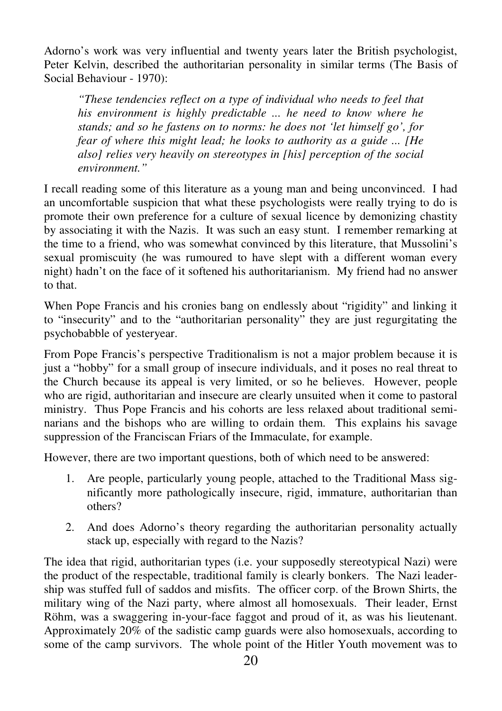Adorno's work was very influential and twenty years later the British psychologist, Peter Kelvin, described the authoritarian personality in similar terms (The Basis of Social Behaviour - 1970):

*"These tendencies reflect on a type of individual who needs to feel that his environment is highly predictable ... he need to know where he stands; and so he fastens on to norms: he does not 'let himself go', for fear of where this might lead; he looks to authority as a guide ... [He also] relies very heavily on stereotypes in [his] perception of the social environment."* 

I recall reading some of this literature as a young man and being unconvinced. I had an uncomfortable suspicion that what these psychologists were really trying to do is promote their own preference for a culture of sexual licence by demonizing chastity by associating it with the Nazis. It was such an easy stunt. I remember remarking at the time to a friend, who was somewhat convinced by this literature, that Mussolini's sexual promiscuity (he was rumoured to have slept with a different woman every night) hadn't on the face of it softened his authoritarianism. My friend had no answer to that.

When Pope Francis and his cronies bang on endlessly about "rigidity" and linking it to "insecurity" and to the "authoritarian personality" they are just regurgitating the psychobabble of yesteryear.

From Pope Francis's perspective Traditionalism is not a major problem because it is just a "hobby" for a small group of insecure individuals, and it poses no real threat to the Church because its appeal is very limited, or so he believes. However, people who are rigid, authoritarian and insecure are clearly unsuited when it come to pastoral ministry. Thus Pope Francis and his cohorts are less relaxed about traditional seminarians and the bishops who are willing to ordain them. This explains his savage suppression of the Franciscan Friars of the Immaculate, for example.

However, there are two important questions, both of which need to be answered:

- 1. Are people, particularly young people, attached to the Traditional Mass significantly more pathologically insecure, rigid, immature, authoritarian than others?
- 2. And does Adorno's theory regarding the authoritarian personality actually stack up, especially with regard to the Nazis?

The idea that rigid, authoritarian types (i.e. your supposedly stereotypical Nazi) were the product of the respectable, traditional family is clearly bonkers. The Nazi leadership was stuffed full of saddos and misfits. The officer corp. of the Brown Shirts, the military wing of the Nazi party, where almost all homosexuals. Their leader, Ernst Röhm, was a swaggering in-your-face faggot and proud of it, as was his lieutenant. Approximately 20% of the sadistic camp guards were also homosexuals, according to some of the camp survivors. The whole point of the Hitler Youth movement was to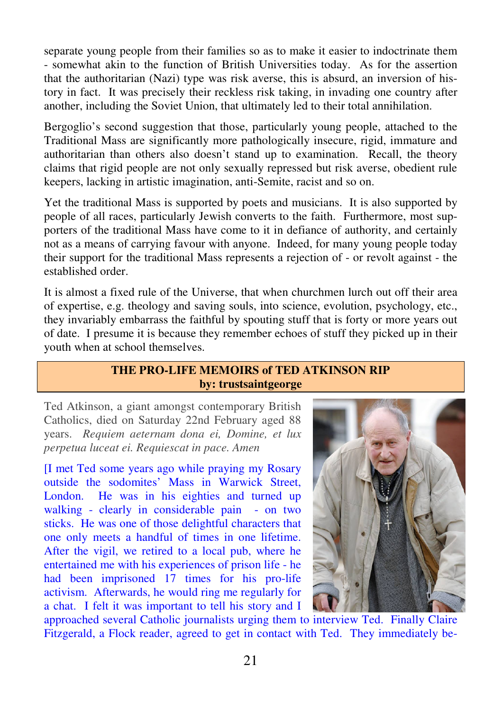separate young people from their families so as to make it easier to indoctrinate them - somewhat akin to the function of British Universities today. As for the assertion that the authoritarian (Nazi) type was risk averse, this is absurd, an inversion of history in fact. It was precisely their reckless risk taking, in invading one country after another, including the Soviet Union, that ultimately led to their total annihilation.

Bergoglio's second suggestion that those, particularly young people, attached to the Traditional Mass are significantly more pathologically insecure, rigid, immature and authoritarian than others also doesn't stand up to examination. Recall, the theory claims that rigid people are not only sexually repressed but risk averse, obedient rule keepers, lacking in artistic imagination, anti-Semite, racist and so on.

Yet the traditional Mass is supported by poets and musicians. It is also supported by people of all races, particularly Jewish converts to the faith. Furthermore, most supporters of the traditional Mass have come to it in defiance of authority, and certainly not as a means of carrying favour with anyone. Indeed, for many young people today their support for the traditional Mass represents a rejection of - or revolt against - the established order.

It is almost a fixed rule of the Universe, that when churchmen lurch out off their area of expertise, e.g. theology and saving souls, into science, evolution, psychology, etc., they invariably embarrass the faithful by spouting stuff that is forty or more years out of date. I presume it is because they remember echoes of stuff they picked up in their youth when at school themselves.

#### **THE PRO-LIFE MEMOIRS of TED ATKINSON RIP by: trustsaintgeorge**

Ted Atkinson, a giant amongst contemporary British Catholics, died on Saturday 22nd February aged 88 years. *Requiem aeternam dona ei, Domine, et lux perpetua luceat ei. Requiescat in pace. Amen* 

[I met Ted some years ago while praying my Rosary outside the sodomites' Mass in Warwick Street, London. He was in his eighties and turned up walking - clearly in considerable pain - on two sticks. He was one of those delightful characters that one only meets a handful of times in one lifetime. After the vigil, we retired to a local pub, where he entertained me with his experiences of prison life - he had been imprisoned 17 times for his pro-life activism. Afterwards, he would ring me regularly for a chat. I felt it was important to tell his story and I



approached several Catholic journalists urging them to interview Ted. Finally Claire Fitzgerald, a Flock reader, agreed to get in contact with Ted. They immediately be-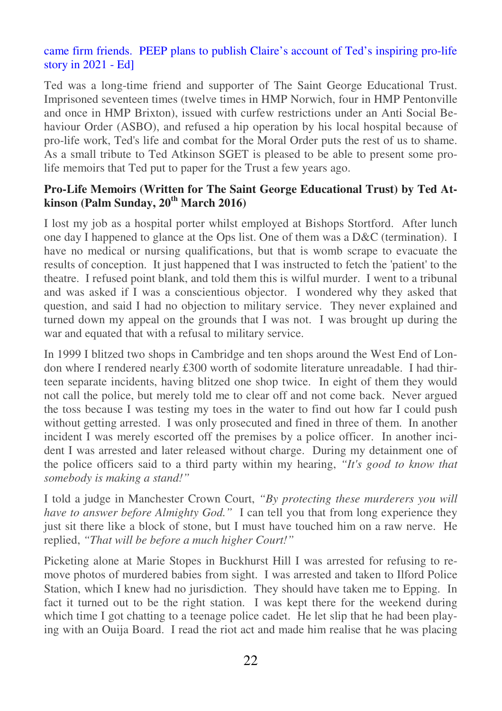## came firm friends. PEEP plans to publish Claire's account of Ted's inspiring pro-life story in 2021 - Ed]

Ted was a long-time friend and supporter of The Saint George Educational Trust. Imprisoned seventeen times (twelve times in HMP Norwich, four in HMP Pentonville and once in HMP Brixton), issued with curfew restrictions under an Anti Social Behaviour Order (ASBO), and refused a hip operation by his local hospital because of pro-life work, Ted's life and combat for the Moral Order puts the rest of us to shame. As a small tribute to Ted Atkinson SGET is pleased to be able to present some prolife memoirs that Ted put to paper for the Trust a few years ago.

## **Pro-Life Memoirs (Written for The Saint George Educational Trust) by Ted Atkinson (Palm Sunday, 20th March 2016)**

I lost my job as a hospital porter whilst employed at Bishops Stortford. After lunch one day I happened to glance at the Ops list. One of them was a D&C (termination). I have no medical or nursing qualifications, but that is womb scrape to evacuate the results of conception. It just happened that I was instructed to fetch the 'patient' to the theatre. I refused point blank, and told them this is wilful murder. I went to a tribunal and was asked if I was a conscientious objector. I wondered why they asked that question, and said I had no objection to military service. They never explained and turned down my appeal on the grounds that I was not. I was brought up during the war and equated that with a refusal to military service.

In 1999 I blitzed two shops in Cambridge and ten shops around the West End of London where I rendered nearly £300 worth of sodomite literature unreadable. I had thirteen separate incidents, having blitzed one shop twice. In eight of them they would not call the police, but merely told me to clear off and not come back. Never argued the toss because I was testing my toes in the water to find out how far I could push without getting arrested. I was only prosecuted and fined in three of them. In another incident I was merely escorted off the premises by a police officer. In another incident I was arrested and later released without charge. During my detainment one of the police officers said to a third party within my hearing, *"It's good to know that somebody is making a stand!"*

I told a judge in Manchester Crown Court, *"By protecting these murderers you will have to answer before Almighty God."* I can tell you that from long experience they just sit there like a block of stone, but I must have touched him on a raw nerve. He replied, *"That will be before a much higher Court!"*

Picketing alone at Marie Stopes in Buckhurst Hill I was arrested for refusing to remove photos of murdered babies from sight. I was arrested and taken to Ilford Police Station, which I knew had no jurisdiction. They should have taken me to Epping. In fact it turned out to be the right station. I was kept there for the weekend during which time I got chatting to a teenage police cadet. He let slip that he had been playing with an Ouija Board. I read the riot act and made him realise that he was placing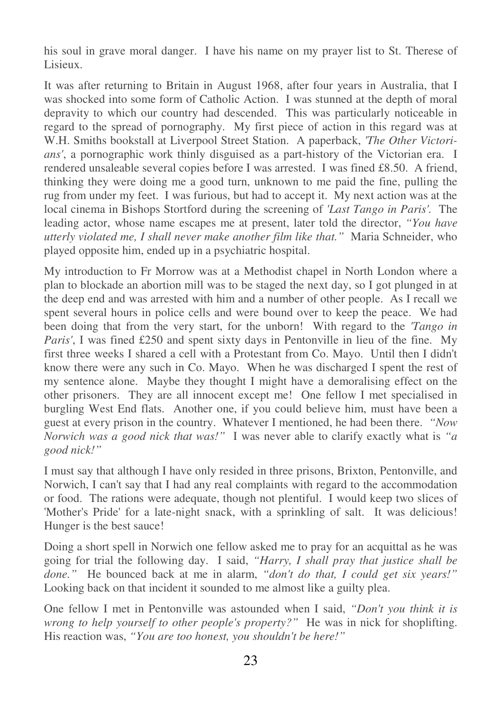his soul in grave moral danger. I have his name on my prayer list to St. Therese of Lisieux.

It was after returning to Britain in August 1968, after four years in Australia, that I was shocked into some form of Catholic Action. I was stunned at the depth of moral depravity to which our country had descended. This was particularly noticeable in regard to the spread of pornography. My first piece of action in this regard was at W.H. Smiths bookstall at Liverpool Street Station. A paperback, *'The Other Victorians'*, a pornographic work thinly disguised as a part-history of the Victorian era. I rendered unsaleable several copies before I was arrested. I was fined £8.50. A friend, thinking they were doing me a good turn, unknown to me paid the fine, pulling the rug from under my feet. I was furious, but had to accept it. My next action was at the local cinema in Bishops Stortford during the screening of *'Last Tango in Paris'.* The leading actor, whose name escapes me at present, later told the director, *"You have utterly violated me, I shall never make another film like that."* Maria Schneider, who played opposite him, ended up in a psychiatric hospital.

My introduction to Fr Morrow was at a Methodist chapel in North London where a plan to blockade an abortion mill was to be staged the next day, so I got plunged in at the deep end and was arrested with him and a number of other people. As I recall we spent several hours in police cells and were bound over to keep the peace. We had been doing that from the very start, for the unborn! With regard to the *'Tango in Paris'*, I was fined £250 and spent sixty days in Pentonville in lieu of the fine. My first three weeks I shared a cell with a Protestant from Co. Mayo. Until then I didn't know there were any such in Co. Mayo. When he was discharged I spent the rest of my sentence alone. Maybe they thought I might have a demoralising effect on the other prisoners. They are all innocent except me! One fellow I met specialised in burgling West End flats. Another one, if you could believe him, must have been a guest at every prison in the country. Whatever I mentioned, he had been there. *"Now Norwich was a good nick that was!"* I was never able to clarify exactly what is *"a good nick!"*

I must say that although I have only resided in three prisons, Brixton, Pentonville, and Norwich, I can't say that I had any real complaints with regard to the accommodation or food. The rations were adequate, though not plentiful. I would keep two slices of 'Mother's Pride' for a late-night snack, with a sprinkling of salt. It was delicious! Hunger is the best sauce!

Doing a short spell in Norwich one fellow asked me to pray for an acquittal as he was going for trial the following day. I said, *"Harry, I shall pray that justice shall be done."* He bounced back at me in alarm, *"don't do that, I could get six years!"* Looking back on that incident it sounded to me almost like a guilty plea.

One fellow I met in Pentonville was astounded when I said, *"Don't you think it is wrong to help yourself to other people's property?"* He was in nick for shoplifting. His reaction was, *"You are too honest, you shouldn't be here!"*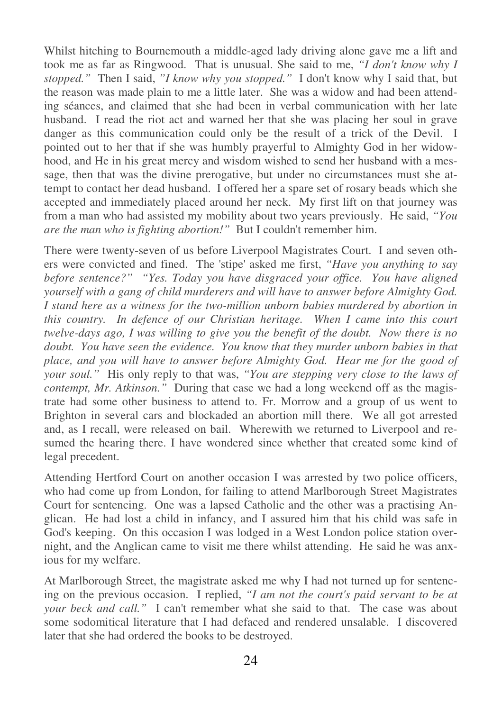Whilst hitching to Bournemouth a middle-aged lady driving alone gave me a lift and took me as far as Ringwood. That is unusual. She said to me, *"I don't know why I stopped."* Then I said, *"I know why you stopped."* I don't know why I said that, but the reason was made plain to me a little later. She was a widow and had been attending séances, and claimed that she had been in verbal communication with her late husband. I read the riot act and warned her that she was placing her soul in grave danger as this communication could only be the result of a trick of the Devil. I pointed out to her that if she was humbly prayerful to Almighty God in her widowhood, and He in his great mercy and wisdom wished to send her husband with a message, then that was the divine prerogative, but under no circumstances must she attempt to contact her dead husband. I offered her a spare set of rosary beads which she accepted and immediately placed around her neck. My first lift on that journey was from a man who had assisted my mobility about two years previously. He said, *"You are the man who is fighting abortion!"* But I couldn't remember him.

There were twenty-seven of us before Liverpool Magistrates Court. I and seven others were convicted and fined. The 'stipe' asked me first, *"Have you anything to say before sentence?" "Yes. Today you have disgraced your office. You have aligned yourself with a gang of child murderers and will have to answer before Almighty God. I stand here as a witness for the two-million unborn babies murdered by abortion in this country. In defence of our Christian heritage. When I came into this court twelve-days ago, I was willing to give you the benefit of the doubt. Now there is no doubt. You have seen the evidence. You know that they murder unborn babies in that place, and you will have to answer before Almighty God. Hear me for the good of your soul."* His only reply to that was, *"You are stepping very close to the laws of contempt, Mr. Atkinson."* During that case we had a long weekend off as the magistrate had some other business to attend to. Fr. Morrow and a group of us went to Brighton in several cars and blockaded an abortion mill there. We all got arrested and, as I recall, were released on bail. Wherewith we returned to Liverpool and resumed the hearing there. I have wondered since whether that created some kind of legal precedent.

Attending Hertford Court on another occasion I was arrested by two police officers, who had come up from London, for failing to attend Marlborough Street Magistrates Court for sentencing. One was a lapsed Catholic and the other was a practising Anglican. He had lost a child in infancy, and I assured him that his child was safe in God's keeping. On this occasion I was lodged in a West London police station overnight, and the Anglican came to visit me there whilst attending. He said he was anxious for my welfare.

At Marlborough Street, the magistrate asked me why I had not turned up for sentencing on the previous occasion. I replied, *"I am not the court's paid servant to be at your beck and call."* I can't remember what she said to that. The case was about some sodomitical literature that I had defaced and rendered unsalable. I discovered later that she had ordered the books to be destroyed.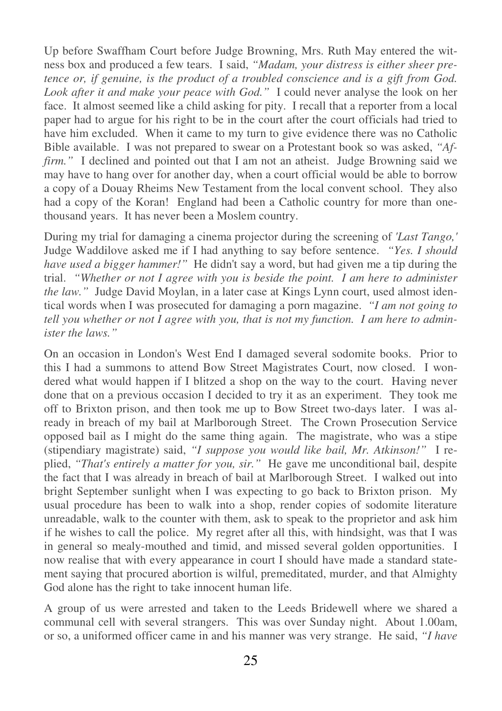Up before Swaffham Court before Judge Browning, Mrs. Ruth May entered the witness box and produced a few tears. I said, *"Madam, your distress is either sheer pretence or, if genuine, is the product of a troubled conscience and is a gift from God. Look after it and make your peace with God."* I could never analyse the look on her face. It almost seemed like a child asking for pity. I recall that a reporter from a local paper had to argue for his right to be in the court after the court officials had tried to have him excluded. When it came to my turn to give evidence there was no Catholic Bible available. I was not prepared to swear on a Protestant book so was asked, *"Affirm.*" I declined and pointed out that I am not an atheist. Judge Browning said we may have to hang over for another day, when a court official would be able to borrow a copy of a Douay Rheims New Testament from the local convent school. They also had a copy of the Koran! England had been a Catholic country for more than onethousand years. It has never been a Moslem country.

During my trial for damaging a cinema projector during the screening of *'Last Tango,'* Judge Waddilove asked me if I had anything to say before sentence. *"Yes. I should have used a bigger hammer!"* He didn't say a word, but had given me a tip during the trial. *"Whether or not I agree with you is beside the point. I am here to administer the law."* Judge David Moylan, in a later case at Kings Lynn court, used almost identical words when I was prosecuted for damaging a porn magazine. *"I am not going to tell you whether or not I agree with you, that is not my function. I am here to administer the laws."*

On an occasion in London's West End I damaged several sodomite books. Prior to this I had a summons to attend Bow Street Magistrates Court, now closed. I wondered what would happen if I blitzed a shop on the way to the court. Having never done that on a previous occasion I decided to try it as an experiment. They took me off to Brixton prison, and then took me up to Bow Street two-days later. I was already in breach of my bail at Marlborough Street. The Crown Prosecution Service opposed bail as I might do the same thing again. The magistrate, who was a stipe (stipendiary magistrate) said, *"I suppose you would like bail, Mr. Atkinson!"* I replied, *"That's entirely a matter for you, sir."* He gave me unconditional bail, despite the fact that I was already in breach of bail at Marlborough Street. I walked out into bright September sunlight when I was expecting to go back to Brixton prison. My usual procedure has been to walk into a shop, render copies of sodomite literature unreadable, walk to the counter with them, ask to speak to the proprietor and ask him if he wishes to call the police. My regret after all this, with hindsight, was that I was in general so mealy-mouthed and timid, and missed several golden opportunities. I now realise that with every appearance in court I should have made a standard statement saying that procured abortion is wilful, premeditated, murder, and that Almighty God alone has the right to take innocent human life.

A group of us were arrested and taken to the Leeds Bridewell where we shared a communal cell with several strangers. This was over Sunday night. About 1.00am, or so, a uniformed officer came in and his manner was very strange. He said, *"I have*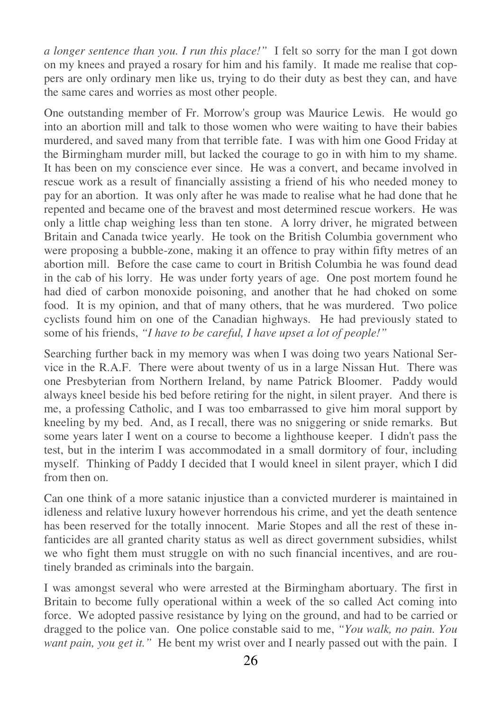*a longer sentence than you. I run this place!"* I felt so sorry for the man I got down on my knees and prayed a rosary for him and his family. It made me realise that coppers are only ordinary men like us, trying to do their duty as best they can, and have the same cares and worries as most other people.

One outstanding member of Fr. Morrow's group was Maurice Lewis. He would go into an abortion mill and talk to those women who were waiting to have their babies murdered, and saved many from that terrible fate. I was with him one Good Friday at the Birmingham murder mill, but lacked the courage to go in with him to my shame. It has been on my conscience ever since. He was a convert, and became involved in rescue work as a result of financially assisting a friend of his who needed money to pay for an abortion. It was only after he was made to realise what he had done that he repented and became one of the bravest and most determined rescue workers. He was only a little chap weighing less than ten stone. A lorry driver, he migrated between Britain and Canada twice yearly. He took on the British Columbia government who were proposing a bubble-zone, making it an offence to pray within fifty metres of an abortion mill. Before the case came to court in British Columbia he was found dead in the cab of his lorry. He was under forty years of age. One post mortem found he had died of carbon monoxide poisoning, and another that he had choked on some food. It is my opinion, and that of many others, that he was murdered. Two police cyclists found him on one of the Canadian highways. He had previously stated to some of his friends, *"I have to be careful, I have upset a lot of people!"*

Searching further back in my memory was when I was doing two years National Service in the R.A.F. There were about twenty of us in a large Nissan Hut. There was one Presbyterian from Northern Ireland, by name Patrick Bloomer. Paddy would always kneel beside his bed before retiring for the night, in silent prayer. And there is me, a professing Catholic, and I was too embarrassed to give him moral support by kneeling by my bed. And, as I recall, there was no sniggering or snide remarks. But some years later I went on a course to become a lighthouse keeper. I didn't pass the test, but in the interim I was accommodated in a small dormitory of four, including myself. Thinking of Paddy I decided that I would kneel in silent prayer, which I did from then on.

Can one think of a more satanic injustice than a convicted murderer is maintained in idleness and relative luxury however horrendous his crime, and yet the death sentence has been reserved for the totally innocent. Marie Stopes and all the rest of these infanticides are all granted charity status as well as direct government subsidies, whilst we who fight them must struggle on with no such financial incentives, and are routinely branded as criminals into the bargain.

I was amongst several who were arrested at the Birmingham abortuary. The first in Britain to become fully operational within a week of the so called Act coming into force. We adopted passive resistance by lying on the ground, and had to be carried or dragged to the police van. One police constable said to me, *"You walk, no pain. You want pain, you get it."* He bent my wrist over and I nearly passed out with the pain. I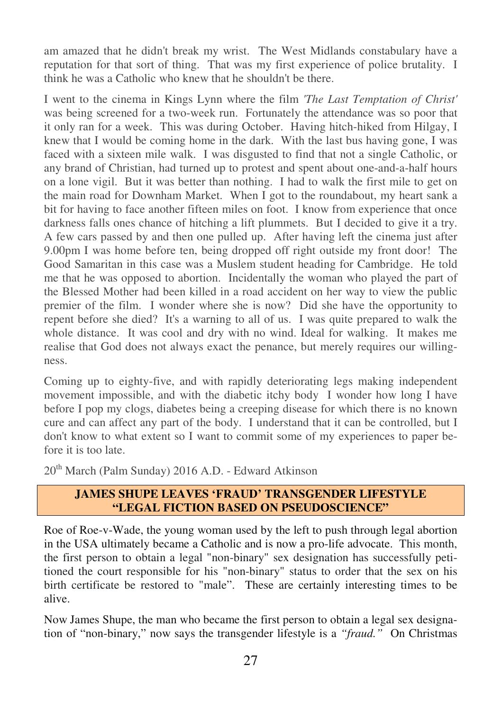am amazed that he didn't break my wrist. The West Midlands constabulary have a reputation for that sort of thing. That was my first experience of police brutality. I think he was a Catholic who knew that he shouldn't be there.

I went to the cinema in Kings Lynn where the film *'The Last Temptation of Christ'* was being screened for a two-week run. Fortunately the attendance was so poor that it only ran for a week. This was during October. Having hitch-hiked from Hilgay, I knew that I would be coming home in the dark. With the last bus having gone, I was faced with a sixteen mile walk. I was disgusted to find that not a single Catholic, or any brand of Christian, had turned up to protest and spent about one-and-a-half hours on a lone vigil. But it was better than nothing. I had to walk the first mile to get on the main road for Downham Market. When I got to the roundabout, my heart sank a bit for having to face another fifteen miles on foot. I know from experience that once darkness falls ones chance of hitching a lift plummets. But I decided to give it a try. A few cars passed by and then one pulled up. After having left the cinema just after 9.00pm I was home before ten, being dropped off right outside my front door! The Good Samaritan in this case was a Muslem student heading for Cambridge. He told me that he was opposed to abortion. Incidentally the woman who played the part of the Blessed Mother had been killed in a road accident on her way to view the public premier of the film. I wonder where she is now? Did she have the opportunity to repent before she died? It's a warning to all of us. I was quite prepared to walk the whole distance. It was cool and dry with no wind. Ideal for walking. It makes me realise that God does not always exact the penance, but merely requires our willingness.

Coming up to eighty-five, and with rapidly deteriorating legs making independent movement impossible, and with the diabetic itchy body I wonder how long I have before I pop my clogs, diabetes being a creeping disease for which there is no known cure and can affect any part of the body. I understand that it can be controlled, but I don't know to what extent so I want to commit some of my experiences to paper before it is too late.

20<sup>th</sup> March (Palm Sunday) 2016 A.D. - Edward Atkinson

## **JAMES SHUPE LEAVES 'FRAUD' TRANSGENDER LIFESTYLE "LEGAL FICTION BASED ON PSEUDOSCIENCE"**

Roe of Roe-v-Wade, the young woman used by the left to push through legal abortion in the USA ultimately became a Catholic and is now a pro-life advocate. This month, the first person to obtain a legal "non-binary" sex designation has successfully petitioned the court responsible for his "non-binary" status to order that the sex on his birth certificate be restored to "male". These are certainly interesting times to be alive.

Now James Shupe, the man who became the first person to obtain a legal sex designation of "non-binary," now says the transgender lifestyle is a *"fraud."* On Christmas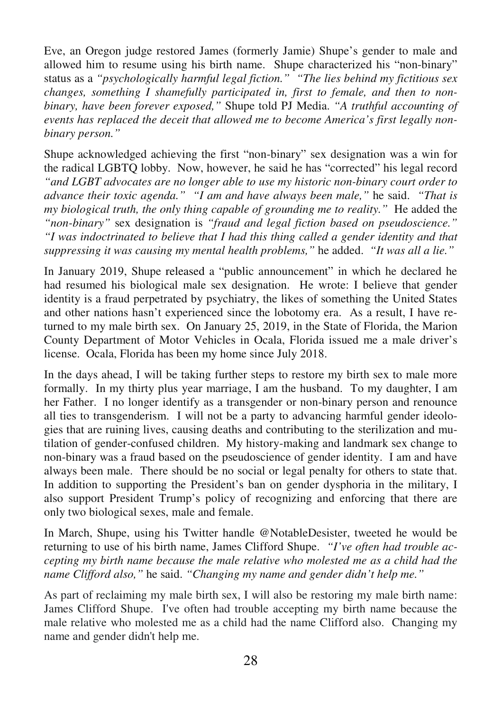Eve, an Oregon judge restored James (formerly Jamie) Shupe's gender to male and allowed him to resume using his birth name. Shupe characterized his "non-binary" status as a *"psychologically harmful legal fiction." "The lies behind my fictitious sex changes, something I shamefully participated in, first to female, and then to nonbinary, have been forever exposed,"* Shupe told PJ Media. *"A truthful accounting of events has replaced the deceit that allowed me to become America's first legally nonbinary person."*

Shupe acknowledged achieving the first "non-binary" sex designation was a win for the radical LGBTQ lobby. Now, however, he said he has "corrected" his legal record *"and LGBT advocates are no longer able to use my historic non-binary court order to advance their toxic agenda." "I am and have always been male,"* he said. *"That is my biological truth, the only thing capable of grounding me to reality.*" He added the *"non-binary"* sex designation is *"fraud and legal fiction based on pseudoscience." "I was indoctrinated to believe that I had this thing called a gender identity and that suppressing it was causing my mental health problems,"* he added. *"It was all a lie."* 

In January 2019, Shupe released a "public announcement" in which he declared he had resumed his biological male sex designation. He wrote: I believe that gender identity is a fraud perpetrated by psychiatry, the likes of something the United States and other nations hasn't experienced since the lobotomy era. As a result, I have returned to my male birth sex. On January 25, 2019, in the State of Florida, the Marion County Department of Motor Vehicles in Ocala, Florida issued me a male driver's license. Ocala, Florida has been my home since July 2018.

In the days ahead, I will be taking further steps to restore my birth sex to male more formally. In my thirty plus year marriage, I am the husband. To my daughter, I am her Father. I no longer identify as a transgender or non-binary person and renounce all ties to transgenderism. I will not be a party to advancing harmful gender ideologies that are ruining lives, causing deaths and contributing to the sterilization and mutilation of gender-confused children. My history-making and landmark sex change to non-binary was a fraud based on the pseudoscience of gender identity. I am and have always been male. There should be no social or legal penalty for others to state that. In addition to supporting the President's ban on gender dysphoria in the military, I also support President Trump's policy of recognizing and enforcing that there are only two biological sexes, male and female.

In March, Shupe, using his Twitter handle @NotableDesister, tweeted he would be returning to use of his birth name, James Clifford Shupe. *"I've often had trouble accepting my birth name because the male relative who molested me as a child had the name Clifford also,"* he said. *"Changing my name and gender didn't help me."*

As part of reclaiming my male birth sex, I will also be restoring my male birth name: James Clifford Shupe. I've often had trouble accepting my birth name because the male relative who molested me as a child had the name Clifford also. Changing my name and gender didn't help me.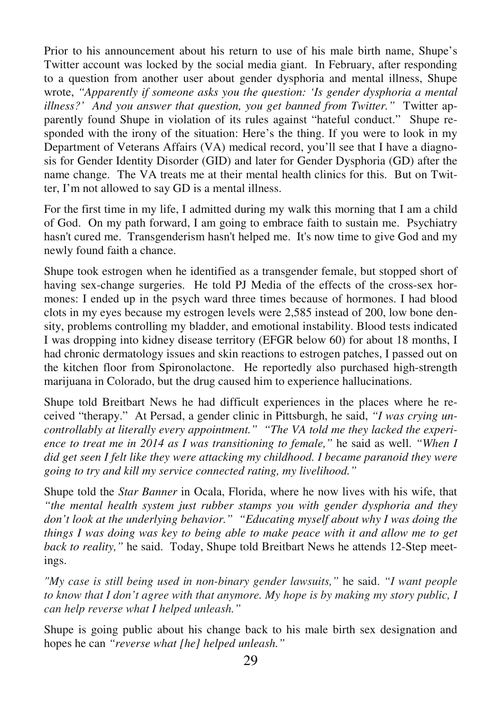Prior to his announcement about his return to use of his male birth name, Shupe's Twitter account was locked by the social media giant. In February, after responding to a question from another user about gender dysphoria and mental illness, Shupe wrote, *"Apparently if someone asks you the question: 'Is gender dysphoria a mental illness?' And you answer that question, you get banned from Twitter."* Twitter apparently found Shupe in violation of its rules against "hateful conduct." Shupe responded with the irony of the situation: Here's the thing. If you were to look in my Department of Veterans Affairs (VA) medical record, you'll see that I have a diagnosis for Gender Identity Disorder (GID) and later for Gender Dysphoria (GD) after the name change. The VA treats me at their mental health clinics for this. But on Twitter, I'm not allowed to say GD is a mental illness.

For the first time in my life, I admitted during my walk this morning that I am a child of God. On my path forward, I am going to embrace faith to sustain me. Psychiatry hasn't cured me. Transgenderism hasn't helped me. It's now time to give God and my newly found faith a chance.

Shupe took estrogen when he identified as a transgender female, but stopped short of having sex-change surgeries. He told PJ Media of the effects of the cross-sex hormones: I ended up in the psych ward three times because of hormones. I had blood clots in my eyes because my estrogen levels were 2,585 instead of 200, low bone density, problems controlling my bladder, and emotional instability. Blood tests indicated I was dropping into kidney disease territory (EFGR below 60) for about 18 months, I had chronic dermatology issues and skin reactions to estrogen patches, I passed out on the kitchen floor from Spironolactone. He reportedly also purchased high-strength marijuana in Colorado, but the drug caused him to experience hallucinations.

Shupe told Breitbart News he had difficult experiences in the places where he received "therapy." At Persad, a gender clinic in Pittsburgh, he said, *"I was crying uncontrollably at literally every appointment." "The VA told me they lacked the experience to treat me in 2014 as I was transitioning to female,"* he said as well. *"When I did get seen I felt like they were attacking my childhood. I became paranoid they were going to try and kill my service connected rating, my livelihood."* 

Shupe told the *Star Banner* in Ocala, Florida, where he now lives with his wife, that *"the mental health system just rubber stamps you with gender dysphoria and they don't look at the underlying behavior." "Educating myself about why I was doing the things I was doing was key to being able to make peace with it and allow me to get back to reality,"* he said. Today, Shupe told Breitbart News he attends 12-Step meetings.

*"My case is still being used in non-binary gender lawsuits,"* he said. *"I want people to know that I don't agree with that anymore. My hope is by making my story public, I can help reverse what I helped unleash."*

Shupe is going public about his change back to his male birth sex designation and hopes he can *"reverse what [he] helped unleash."*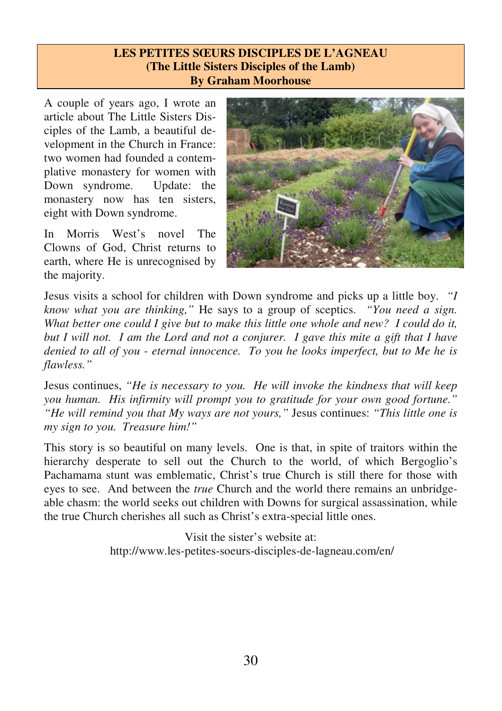#### **LES PETITES SŒURS DISCIPLES DE L'AGNEAU (The Little Sisters Disciples of the Lamb) By Graham Moorhouse**

A couple of years ago, I wrote an article about The Little Sisters Disciples of the Lamb, a beautiful development in the Church in France: two women had founded a contemplative monastery for women with Down syndrome. Update: the monastery now has ten sisters, eight with Down syndrome.

In Morris West's novel The Clowns of God, Christ returns to earth, where He is unrecognised by the majority.



Jesus visits a school for children with Down syndrome and picks up a little boy. *"I know what you are thinking,"* He says to a group of sceptics. *"You need a sign. What better one could I give but to make this little one whole and new? I could do it, but I will not. I am the Lord and not a conjurer. I gave this mite a gift that I have denied to all of you - eternal innocence. To you he looks imperfect, but to Me he is flawless."* 

Jesus continues, *"He is necessary to you. He will invoke the kindness that will keep you human. His infirmity will prompt you to gratitude for your own good fortune." "He will remind you that My ways are not yours,"* Jesus continues: *"This little one is my sign to you. Treasure him!"* 

This story is so beautiful on many levels. One is that, in spite of traitors within the hierarchy desperate to sell out the Church to the world, of which Bergoglio's Pachamama stunt was emblematic, Christ's true Church is still there for those with eyes to see. And between the *true* Church and the world there remains an unbridgeable chasm: the world seeks out children with Downs for surgical assassination, while the true Church cherishes all such as Christ's extra-special little ones.

> Visit the sister's website at: http://www.les-petites-soeurs-disciples-de-lagneau.com/en/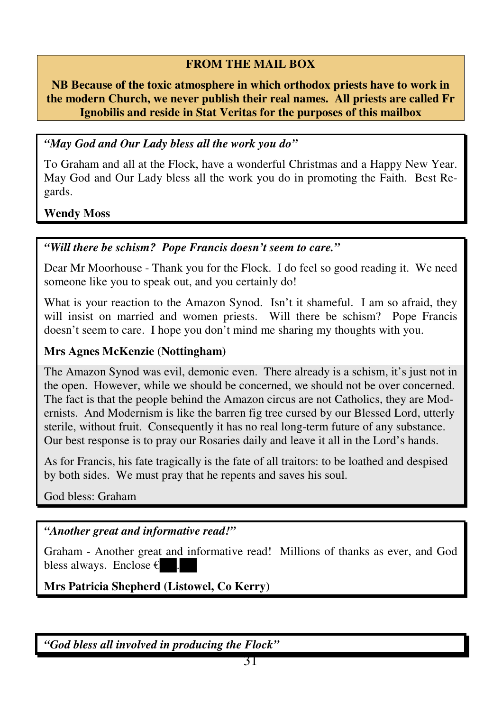## **FROM THE MAIL BOX**

**NB Because of the toxic atmosphere in which orthodox priests have to work in the modern Church, we never publish their real names. All priests are called Fr Ignobilis and reside in Stat Veritas for the purposes of this mailbox** 

## *"May God and Our Lady bless all the work you do"*

To Graham and all at the Flock, have a wonderful Christmas and a Happy New Year. May God and Our Lady bless all the work you do in promoting the Faith. Best Regards.

**Wendy Moss** 

## *"Will there be schism? Pope Francis doesn't seem to care."*

Dear Mr Moorhouse - Thank you for the Flock. I do feel so good reading it. We need someone like you to speak out, and you certainly do!

What is your reaction to the Amazon Synod. Isn't it shameful. I am so afraid, they will insist on married and women priests. Will there be schism? Pope Francis doesn't seem to care. I hope you don't mind me sharing my thoughts with you.

## **Mrs Agnes McKenzie (Nottingham)**

The Amazon Synod was evil, demonic even. There already is a schism, it's just not in the open. However, while we should be concerned, we should not be over concerned. The fact is that the people behind the Amazon circus are not Catholics, they are Modernists. And Modernism is like the barren fig tree cursed by our Blessed Lord, utterly sterile, without fruit. Consequently it has no real long-term future of any substance. Our best response is to pray our Rosaries daily and leave it all in the Lord's hands.

As for Francis, his fate tragically is the fate of all traitors: to be loathed and despised by both sides. We must pray that he repents and saves his soul.

God bless: Graham

## *"Another great and informative read!"*

Graham - Another great and informative read! Millions of thanks as ever, and God bless always. Enclose  $\epsilon$ 

**Mrs Patricia Shepherd (Listowel, Co Kerry)** 

*"God bless all involved in producing the Flock"*